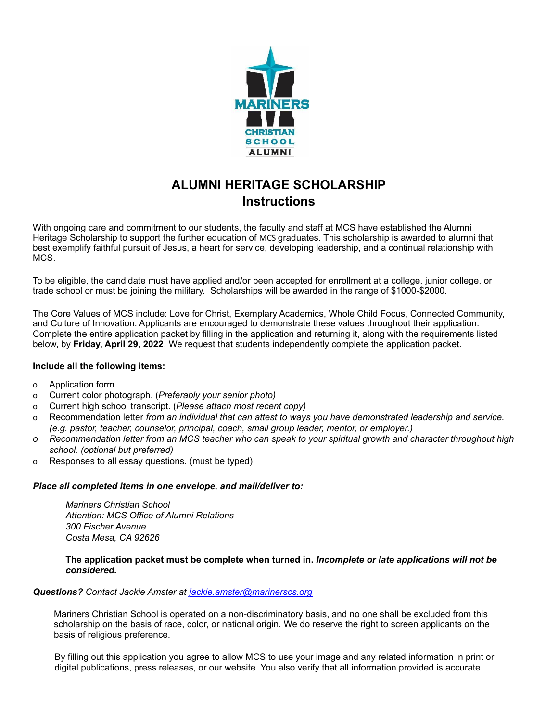

## **ALUMNI HERITAGE SCHOLARSHIP Instructions**

With ongoing care and commitment to our students, the faculty and staff at MCS have established the Alumni Heritage Scholarship to support the further education of MCS graduates. This scholarship is awarded to alumni that best exemplify faithful pursuit of Jesus, a heart for service, developing leadership, and a continual relationship with MCS.

To be eligible, the candidate must have applied and/or been accepted for enrollment at a college, junior college, or trade school or must be joining the military. Scholarships will be awarded in the range of \$1000-\$2000.

The Core Values of MCS include: Love for Christ, Exemplary Academics, Whole Child Focus, Connected Community, and Culture of Innovation. Applicants are encouraged to demonstrate these values throughout their application. Complete the entire application packet by filling in the application and returning it, along with the requirements listed below, by **Friday, April 29, 2022**. We request that students independently complete the application packet.

#### **Include all the following items:**

- o Application form.
- o Current color photograph. (*Preferably your senior photo)*
- o Current high school transcript. (*Please attach most recent copy)*
- o Recommendation letter *from an individual that can attest to ways you have demonstrated leadership and service. (e.g. pastor, teacher, counselor, principal, coach, small group leader, mentor, or employer.)*
- o Recommendation letter from an MCS teacher who can speak to your spiritual growth and character throughout high *school. (optional but preferred)*
- o Responses to all essay questions. (must be typed)

#### *Place all completed items in one envelope, and mail/deliver to:*

*Mariners Christian School Attention: MCS Office of Alumni Relations 300 Fischer Avenue Costa Mesa, CA 92626*

#### **The application packet must be complete when turned in.** *Incomplete or late applications will not be considered.*

#### *Questions? Contact Jackie Amster at jackie.amster@marinerscs.org*

Mariners Christian School is operated on a non-discriminatory basis, and no one shall be excluded from this scholarship on the basis of race, color, or national origin. We do reserve the right to screen applicants on the basis of religious preference.

By filling out this application you agree to allow MCS to use your image and any related information in print or digital publications, press releases, or our website. You also verify that all information provided is accurate.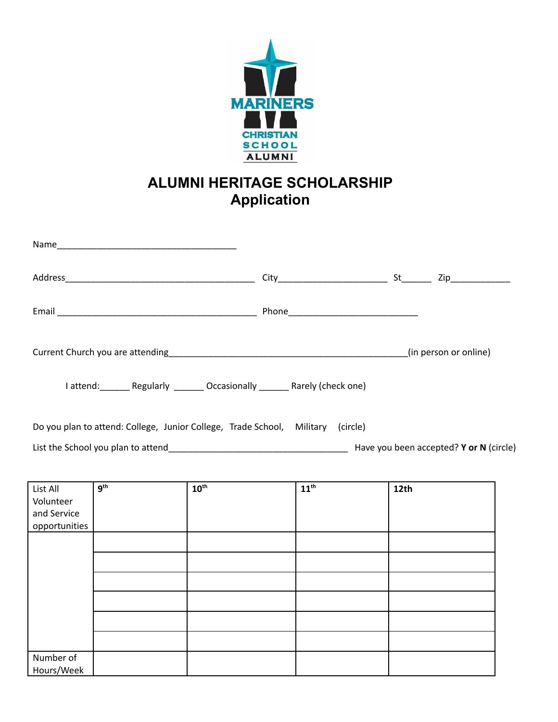

# **ALUMNI HERITAGE SCHOLARSHIP Application**

|                                                       | I attend: Regularly _______ Occasionally _______ Rarely (check one)             |                  |                  |      |  |
|-------------------------------------------------------|---------------------------------------------------------------------------------|------------------|------------------|------|--|
|                                                       | Do you plan to attend: College, Junior College, Trade School, Military (circle) |                  |                  |      |  |
|                                                       |                                                                                 |                  |                  |      |  |
| List All<br>Volunteer<br>and Service<br>opportunities | q <sup>th</sup>                                                                 | $10^{\text{th}}$ | $11^{\text{th}}$ | 12th |  |
|                                                       |                                                                                 |                  |                  |      |  |
|                                                       |                                                                                 |                  |                  |      |  |
|                                                       |                                                                                 |                  |                  |      |  |
| Number of                                             |                                                                                 |                  |                  |      |  |
| Hours/Week                                            |                                                                                 |                  |                  |      |  |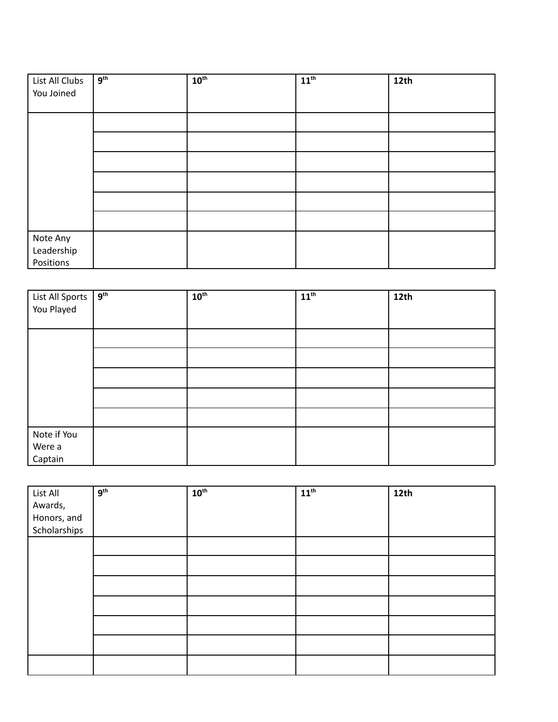| List All Clubs | 9 <sup>th</sup> | 10 <sup>th</sup> | $11^{th}$ | 12th |
|----------------|-----------------|------------------|-----------|------|
| You Joined     |                 |                  |           |      |
|                |                 |                  |           |      |
|                |                 |                  |           |      |
|                |                 |                  |           |      |
|                |                 |                  |           |      |
|                |                 |                  |           |      |
|                |                 |                  |           |      |
|                |                 |                  |           |      |
| Note Any       |                 |                  |           |      |
| Leadership     |                 |                  |           |      |
| Positions      |                 |                  |           |      |

| List All Sports<br>You Played | 9 <sup>th</sup> | $10^{\text{th}}$ | $11^{\text{th}}$ | 12 <sub>th</sub> |
|-------------------------------|-----------------|------------------|------------------|------------------|
|                               |                 |                  |                  |                  |
|                               |                 |                  |                  |                  |
|                               |                 |                  |                  |                  |
|                               |                 |                  |                  |                  |
|                               |                 |                  |                  |                  |
|                               |                 |                  |                  |                  |
|                               |                 |                  |                  |                  |
| Note if You                   |                 |                  |                  |                  |
| Were a                        |                 |                  |                  |                  |
| Captain                       |                 |                  |                  |                  |

| List All                    | 9 <sup>th</sup> | 10 <sup>th</sup> | $11^{\text{th}}$ | 12 <sup>th</sup> |
|-----------------------------|-----------------|------------------|------------------|------------------|
| Awards,                     |                 |                  |                  |                  |
| Honors, and<br>Scholarships |                 |                  |                  |                  |
|                             |                 |                  |                  |                  |
|                             |                 |                  |                  |                  |
|                             |                 |                  |                  |                  |
|                             |                 |                  |                  |                  |
|                             |                 |                  |                  |                  |
|                             |                 |                  |                  |                  |
|                             |                 |                  |                  |                  |
|                             |                 |                  |                  |                  |